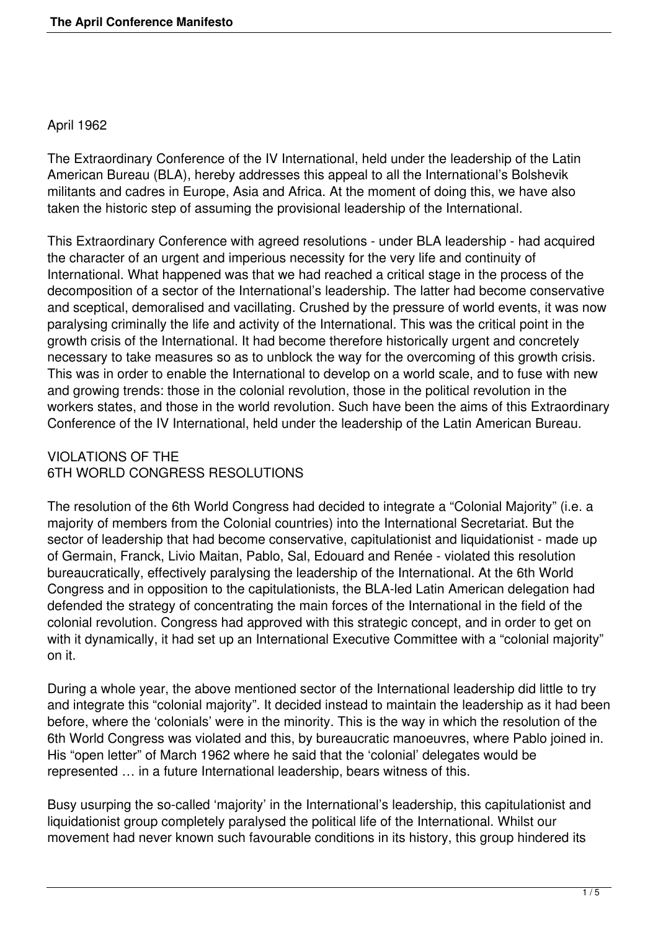#### April 1962

The Extraordinary Conference of the IV International, held under the leadership of the Latin American Bureau (BLA), hereby addresses this appeal to all the International's Bolshevik militants and cadres in Europe, Asia and Africa. At the moment of doing this, we have also taken the historic step of assuming the provisional leadership of the International.

This Extraordinary Conference with agreed resolutions - under BLA leadership - had acquired the character of an urgent and imperious necessity for the very life and continuity of International. What happened was that we had reached a critical stage in the process of the decomposition of a sector of the International's leadership. The latter had become conservative and sceptical, demoralised and vacillating. Crushed by the pressure of world events, it was now paralysing criminally the life and activity of the International. This was the critical point in the growth crisis of the International. It had become therefore historically urgent and concretely necessary to take measures so as to unblock the way for the overcoming of this growth crisis. This was in order to enable the International to develop on a world scale, and to fuse with new and growing trends: those in the colonial revolution, those in the political revolution in the workers states, and those in the world revolution. Such have been the aims of this Extraordinary Conference of the IV International, held under the leadership of the Latin American Bureau.

# VIOLATIONS OF THE 6TH WORLD CONGRESS RESOLUTIONS

The resolution of the 6th World Congress had decided to integrate a "Colonial Majority" (i.e. a majority of members from the Colonial countries) into the International Secretariat. But the sector of leadership that had become conservative, capitulationist and liquidationist - made up of Germain, Franck, Livio Maitan, Pablo, Sal, Edouard and Renée - violated this resolution bureaucratically, effectively paralysing the leadership of the International. At the 6th World Congress and in opposition to the capitulationists, the BLA-led Latin American delegation had defended the strategy of concentrating the main forces of the International in the field of the colonial revolution. Congress had approved with this strategic concept, and in order to get on with it dynamically, it had set up an International Executive Committee with a "colonial majority" on it.

During a whole year, the above mentioned sector of the International leadership did little to try and integrate this "colonial majority". It decided instead to maintain the leadership as it had been before, where the 'colonials' were in the minority. This is the way in which the resolution of the 6th World Congress was violated and this, by bureaucratic manoeuvres, where Pablo joined in. His "open letter" of March 1962 where he said that the 'colonial' delegates would be represented … in a future International leadership, bears witness of this.

Busy usurping the so-called 'majority' in the International's leadership, this capitulationist and liquidationist group completely paralysed the political life of the International. Whilst our movement had never known such favourable conditions in its history, this group hindered its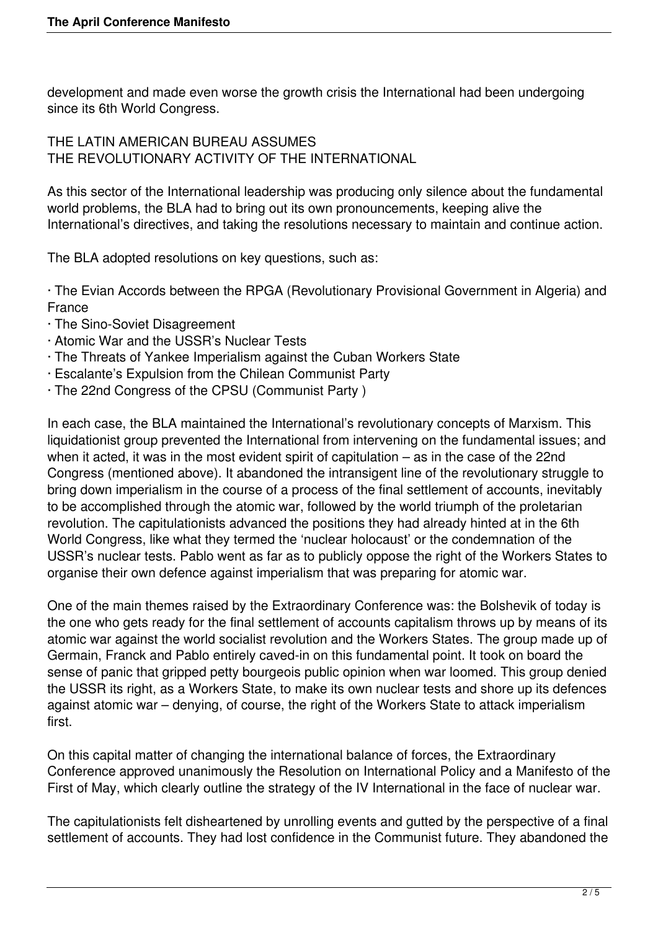development and made even worse the growth crisis the International had been undergoing since its 6th World Congress.

THE LATIN AMERICAN BUREAU ASSUMES THE REVOLUTIONARY ACTIVITY OF THE INTERNATIONAL

As this sector of the International leadership was producing only silence about the fundamental world problems, the BLA had to bring out its own pronouncements, keeping alive the International's directives, and taking the resolutions necessary to maintain and continue action.

The BLA adopted resolutions on key questions, such as:

· The Evian Accords between the RPGA (Revolutionary Provisional Government in Algeria) and France

- · The Sino-Soviet Disagreement
- · Atomic War and the USSR's Nuclear Tests
- · The Threats of Yankee Imperialism against the Cuban Workers State
- · Escalante's Expulsion from the Chilean Communist Party
- · The 22nd Congress of the CPSU (Communist Party )

In each case, the BLA maintained the International's revolutionary concepts of Marxism. This liquidationist group prevented the International from intervening on the fundamental issues; and when it acted, it was in the most evident spirit of capitulation – as in the case of the 22nd Congress (mentioned above). It abandoned the intransigent line of the revolutionary struggle to bring down imperialism in the course of a process of the final settlement of accounts, inevitably to be accomplished through the atomic war, followed by the world triumph of the proletarian revolution. The capitulationists advanced the positions they had already hinted at in the 6th World Congress, like what they termed the 'nuclear holocaust' or the condemnation of the USSR's nuclear tests. Pablo went as far as to publicly oppose the right of the Workers States to organise their own defence against imperialism that was preparing for atomic war.

One of the main themes raised by the Extraordinary Conference was: the Bolshevik of today is the one who gets ready for the final settlement of accounts capitalism throws up by means of its atomic war against the world socialist revolution and the Workers States. The group made up of Germain, Franck and Pablo entirely caved-in on this fundamental point. It took on board the sense of panic that gripped petty bourgeois public opinion when war loomed. This group denied the USSR its right, as a Workers State, to make its own nuclear tests and shore up its defences against atomic war – denying, of course, the right of the Workers State to attack imperialism first.

On this capital matter of changing the international balance of forces, the Extraordinary Conference approved unanimously the Resolution on International Policy and a Manifesto of the First of May, which clearly outline the strategy of the IV International in the face of nuclear war.

The capitulationists felt disheartened by unrolling events and gutted by the perspective of a final settlement of accounts. They had lost confidence in the Communist future. They abandoned the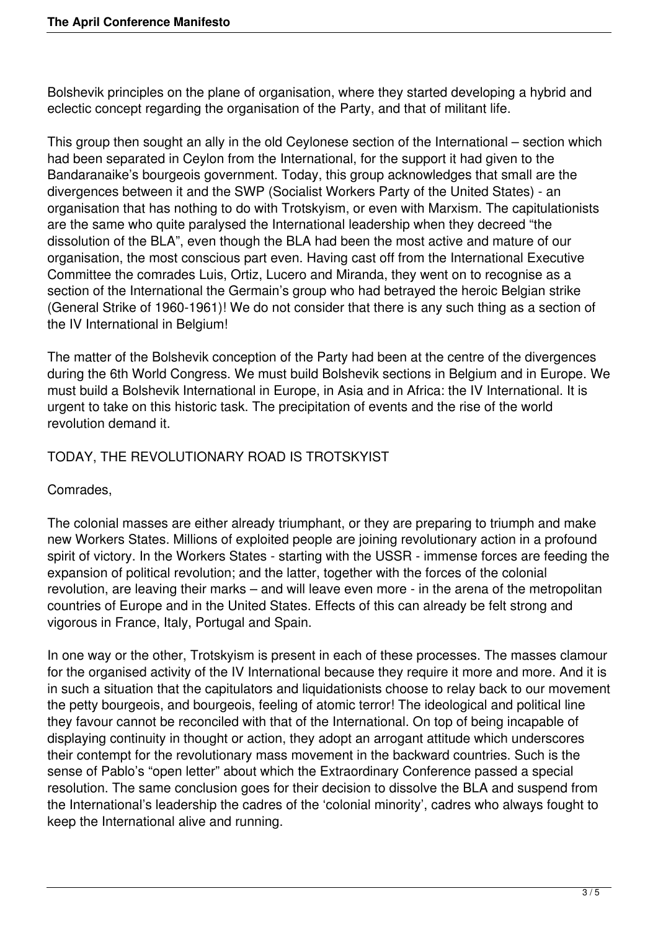Bolshevik principles on the plane of organisation, where they started developing a hybrid and eclectic concept regarding the organisation of the Party, and that of militant life.

This group then sought an ally in the old Ceylonese section of the International – section which had been separated in Ceylon from the International, for the support it had given to the Bandaranaike's bourgeois government. Today, this group acknowledges that small are the divergences between it and the SWP (Socialist Workers Party of the United States) - an organisation that has nothing to do with Trotskyism, or even with Marxism. The capitulationists are the same who quite paralysed the International leadership when they decreed "the dissolution of the BLA", even though the BLA had been the most active and mature of our organisation, the most conscious part even. Having cast off from the International Executive Committee the comrades Luis, Ortiz, Lucero and Miranda, they went on to recognise as a section of the International the Germain's group who had betrayed the heroic Belgian strike (General Strike of 1960-1961)! We do not consider that there is any such thing as a section of the IV International in Belgium!

The matter of the Bolshevik conception of the Party had been at the centre of the divergences during the 6th World Congress. We must build Bolshevik sections in Belgium and in Europe. We must build a Bolshevik International in Europe, in Asia and in Africa: the IV International. It is urgent to take on this historic task. The precipitation of events and the rise of the world revolution demand it.

# TODAY, THE REVOLUTIONARY ROAD IS TROTSKYIST

Comrades,

The colonial masses are either already triumphant, or they are preparing to triumph and make new Workers States. Millions of exploited people are joining revolutionary action in a profound spirit of victory. In the Workers States - starting with the USSR - immense forces are feeding the expansion of political revolution; and the latter, together with the forces of the colonial revolution, are leaving their marks – and will leave even more - in the arena of the metropolitan countries of Europe and in the United States. Effects of this can already be felt strong and vigorous in France, Italy, Portugal and Spain.

In one way or the other, Trotskyism is present in each of these processes. The masses clamour for the organised activity of the IV International because they require it more and more. And it is in such a situation that the capitulators and liquidationists choose to relay back to our movement the petty bourgeois, and bourgeois, feeling of atomic terror! The ideological and political line they favour cannot be reconciled with that of the International. On top of being incapable of displaying continuity in thought or action, they adopt an arrogant attitude which underscores their contempt for the revolutionary mass movement in the backward countries. Such is the sense of Pablo's "open letter" about which the Extraordinary Conference passed a special resolution. The same conclusion goes for their decision to dissolve the BLA and suspend from the International's leadership the cadres of the 'colonial minority', cadres who always fought to keep the International alive and running.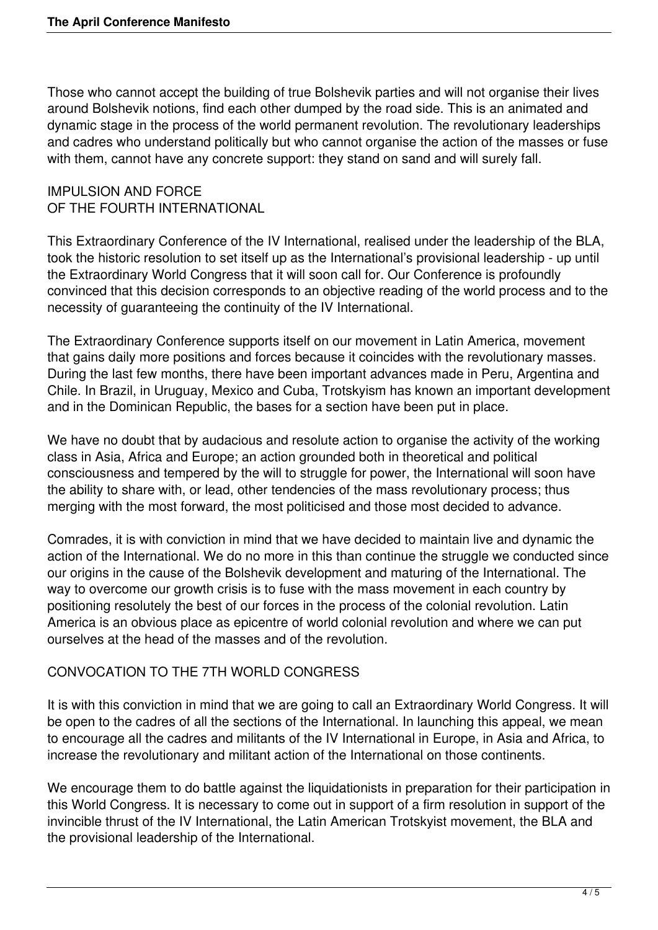Those who cannot accept the building of true Bolshevik parties and will not organise their lives around Bolshevik notions, find each other dumped by the road side. This is an animated and dynamic stage in the process of the world permanent revolution. The revolutionary leaderships and cadres who understand politically but who cannot organise the action of the masses or fuse with them, cannot have any concrete support: they stand on sand and will surely fall.

#### IMPULSION AND FORCE OF THE FOURTH INTERNATIONAL

This Extraordinary Conference of the IV International, realised under the leadership of the BLA, took the historic resolution to set itself up as the International's provisional leadership - up until the Extraordinary World Congress that it will soon call for. Our Conference is profoundly convinced that this decision corresponds to an objective reading of the world process and to the necessity of guaranteeing the continuity of the IV International.

The Extraordinary Conference supports itself on our movement in Latin America, movement that gains daily more positions and forces because it coincides with the revolutionary masses. During the last few months, there have been important advances made in Peru, Argentina and Chile. In Brazil, in Uruguay, Mexico and Cuba, Trotskyism has known an important development and in the Dominican Republic, the bases for a section have been put in place.

We have no doubt that by audacious and resolute action to organise the activity of the working class in Asia, Africa and Europe; an action grounded both in theoretical and political consciousness and tempered by the will to struggle for power, the International will soon have the ability to share with, or lead, other tendencies of the mass revolutionary process; thus merging with the most forward, the most politicised and those most decided to advance.

Comrades, it is with conviction in mind that we have decided to maintain live and dynamic the action of the International. We do no more in this than continue the struggle we conducted since our origins in the cause of the Bolshevik development and maturing of the International. The way to overcome our growth crisis is to fuse with the mass movement in each country by positioning resolutely the best of our forces in the process of the colonial revolution. Latin America is an obvious place as epicentre of world colonial revolution and where we can put ourselves at the head of the masses and of the revolution.

# CONVOCATION TO THE 7TH WORLD CONGRESS

It is with this conviction in mind that we are going to call an Extraordinary World Congress. It will be open to the cadres of all the sections of the International. In launching this appeal, we mean to encourage all the cadres and militants of the IV International in Europe, in Asia and Africa, to increase the revolutionary and militant action of the International on those continents.

We encourage them to do battle against the liquidationists in preparation for their participation in this World Congress. It is necessary to come out in support of a firm resolution in support of the invincible thrust of the IV International, the Latin American Trotskyist movement, the BLA and the provisional leadership of the International.